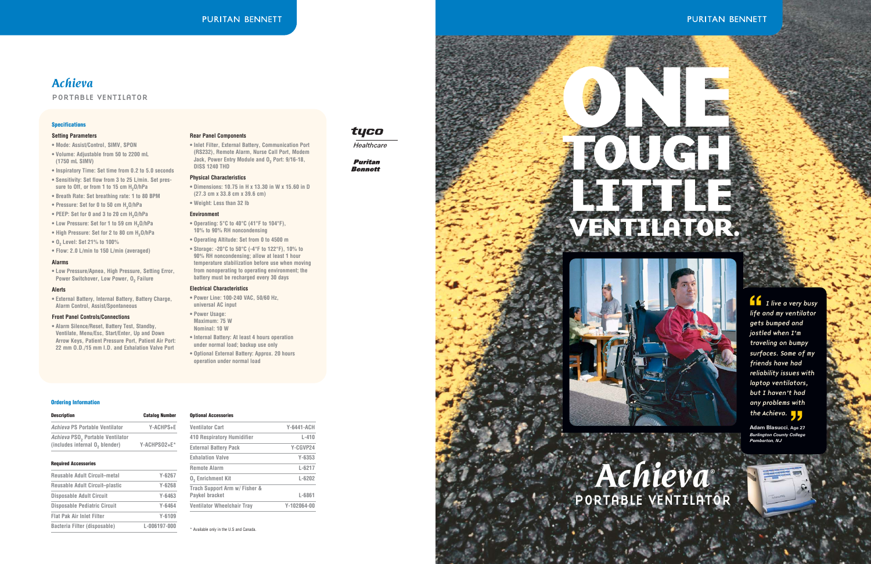**f** I live a very busy life and my ventilator gets bumped and jostled when I'm traveling on bumpy surfaces. Some of my friends have had reliability issues with laptop ventilators, but I haven't had any problems with the Achieva. **''**



# **PURITAN BENNETT**

**Adam Blasucci, Age 27 Burlington County College Pemberton, NJ**

### **Ordering Information**

| <b>Description</b>                                                             | <b>Catalog Number</b> |
|--------------------------------------------------------------------------------|-----------------------|
| Achieva PS Portable Ventilator                                                 | Y-ACHPS+E             |
| Achieva PSO <sub>2</sub> Portable Ventilator<br>(includes internal 0, blender) | Y-ACHPSO2+E*          |

### **Required Accessories**

| <b>Reusable Adult Circuit-metal</b> | $Y - 6267$   |
|-------------------------------------|--------------|
| Reusable Adult Circuit-plastic      | $Y - 6268$   |
| <b>Disposable Adult Circuit</b>     | Y-6463       |
| <b>Disposable Pediatric Circuit</b> | Y-6464       |
| <b>Flat Pak Air Inlet Filter</b>    | $Y - 6109$   |
| Bacteria Filter (disposable)        | L-006197-000 |

#### **Optional Accessories**

| <b>Ventilator Cart</b>                          | <b>Y-6441-ACH</b> |
|-------------------------------------------------|-------------------|
| <b>410 Respiratory Humidifier</b>               | $L - 410$         |
| <b>External Battery Pack</b>                    | Y-CGVP24          |
| <b>Exhalation Valve</b>                         | $Y - 6353$        |
| <b>Remote Alarm</b>                             | $L - 6217$        |
| <b>0, Enrichment Kit</b>                        | $L - 6202$        |
| Trach Support Arm w/ Fisher &<br>Paykel bracket | L-6861            |
| <b>Ventilator Wheelchair Tray</b>               | $Y-102064-00$     |
|                                                 |                   |

**• Low Pressure/Apnea, High Pressure, Setting Error, Power Switchover, Low Power, O<sub>2</sub> Failure** 

\* Available only in the U.S and Canada.

# tyco

Healthcare

**Puritan Bennett** 

# *Achieva*

### PORTABLE VENTILATOR

### **Specifications**

### **Setting Parameters**

- **Mode: Assist/Control, SIMV, SPON**
- **Volume: Adjustable from 50 to 2200 mL (1750 mL SIMV)**
- **Inspiratory Time: Set time from 0.2 to 5.0 seconds**
- **Sensitivity: Set flow from 3 to 25 L/min. Set pres**sure to Off, or from 1 to 15 cm H<sub>2</sub>O/hPa
- **Breath Rate: Set breathing rate: 1 to 80 BPM**
- Pressure: Set for 0 to 50 cm H<sub>2</sub>O/hPa
- PEEP: Set for 0 and 3 to 20 cm H<sub>2</sub>O/hPa
- Low Pressure: Set for 1 to 59 cm H<sub>2</sub>O/hPa
- High Pressure: Set for 2 to 80 cm H<sub>2</sub>O/hPa
- **O2 Level: Set 21% to 100%**
- **Flow: 2.0 L/min to 150 L/min (averaged)**

### **Alarms**

### **Alerts**

**• External Battery, Internal Battery, Battery Charge, Alarm Control, Assist/Spontaneous**

### **Front Panel Controls/Connections**

**• Alarm Silence/Reset, Battery Test, Standby, Ventilate, Menu/Esc, Start/Enter, Up and Down Arrow Keys, Patient Pressure Port, Patient Air Port: 22 mm O.D./15 mm I.D. and Exhalation Valve Port**

### **Rear Panel Components**

**• Inlet Filter, External Battery, Communication Port (RS232), Remote Alarm, Nurse Call Port, Modem Jack, Power Entry Module and O<sub>2</sub> Port: 9/16-18, DISS 1240 THD**

#### **Physical Characteristics**

- **Dimensions: 10.75 in H x 13.30 in W x 15.60 in D (27.3 cm x 33.8 cm x 39.6 cm)**
- **Weight: Less than 32 lb**

### **Environment**

- **Operating: 5°C to 40°C (41°F to 104°F), 10% to 90% RH noncondensing**
- **Operating Altitude: Set from 0 to 4500 m**
- **Storage: -20°C to 50°C (-4°F to 122°F), 10% to 90% RH noncondensing; allow at least 1 hour temperature stabilization before use when moving from nonoperating to operating environment; the battery must be recharged every 30 days**

### **Electrical Characteristics**

- **Power Line: 100-240 VAC, 50/60 Hz, universal AC input**
- **Power Usage: Maximum: 75 W Nominal: 10 W**
- 
- **Internal Battery: At least 4 hours operation under normal load; backup use only**
- **Optional External Battery: Approx. 20 hours operation under normal load**